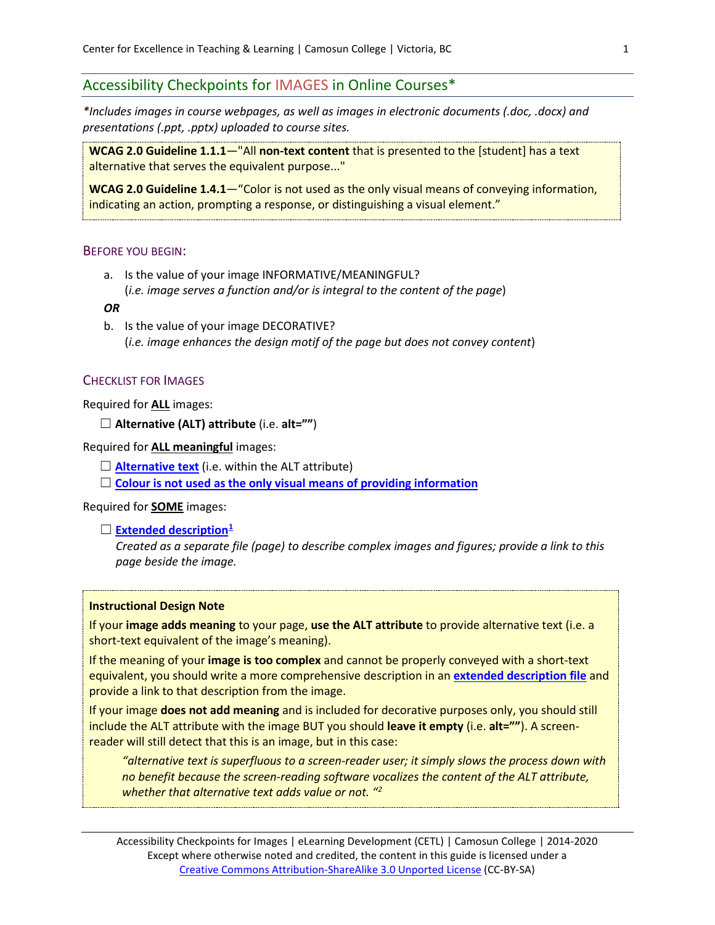# Accessibility Checkpoints for IMAGES in Online Courses\*

*\*Includes images in course webpages, as well as images in electronic documents (.doc, .docx) and presentations (.ppt, .pptx) uploaded to course sites.*

**WCAG 2.0 Guideline 1.1.1**—"All **non-text content** that is presented to the [student] has a text alternative that serves the equivalent purpose..."

**WCAG 2.0 Guideline 1.4.1**—"Color is not used as the only visual means of conveying information, indicating an action, prompting a response, or distinguishing a visual element."

## BEFORE YOU BEGIN:

a. Is the value of your image INFORMATIVE/MEANINGFUL? (*i.e. image serves a function and/or is integral to the content of the page*)

#### *OR*

b. Is the value of your image DECORATIVE? (*i.e. image enhances the design motif of the page but does not convey content*)

### CHECKLIST FOR IMAGES

Required for **ALL** images:

```
☐ Alternative (ALT) attribute (i.e. alt="")
```
Required for **ALL meaningful** images:

 $\Box$  **[Alternative text](#page-0-0)** (i.e. within the ALT attribute)

□ **Colour** [is not used as the only visual means of providing information](#page-1-0)

Required for **SOME** images:

□ **[Extended description](#page-3-0)**<sup>[1](#page-6-0)</sup>

*Created as a separate file (page) to describe complex images and figures; provide a link to this page beside the image.*

#### **Instructional Design Note**

If your **image adds meaning** to your page, **use the ALT attribute** to provide alternative text (i.e. a short-text equivalent of the image's meaning).

If the meaning of your **image is too complex** and cannot be properly conveyed with a short-text equivalent, you should write a more comprehensive description in an **[extended description file](#page-3-0)** and provide a link to that description from the image.

If your image **does not add meaning** and is included for decorative purposes only, you should still include the ALT attribute with the image BUT you should **leave it empty** (i.e. **alt=""**). A screenreader will still detect that this is an image, but in this case:

*"alternative text is superfluous to a screen-reader user; it simply slows the process down with no benefit because the screen-reading software vocalizes the content of the ALT attribute, whether that alternative text adds value or not. "[2](#page-6-1)*

<span id="page-0-0"></span>Accessibility Checkpoints for Images | eLearning Development (CETL) | Camosun College | 2014-2020 Except where otherwise noted and credited, the content in this guide is licensed under a [Creative Commons Attribution-ShareAlike 3.0 Unported License](http://creativecommons.org/licenses/by-sa/3.0/deed.en_US) (CC-BY-SA)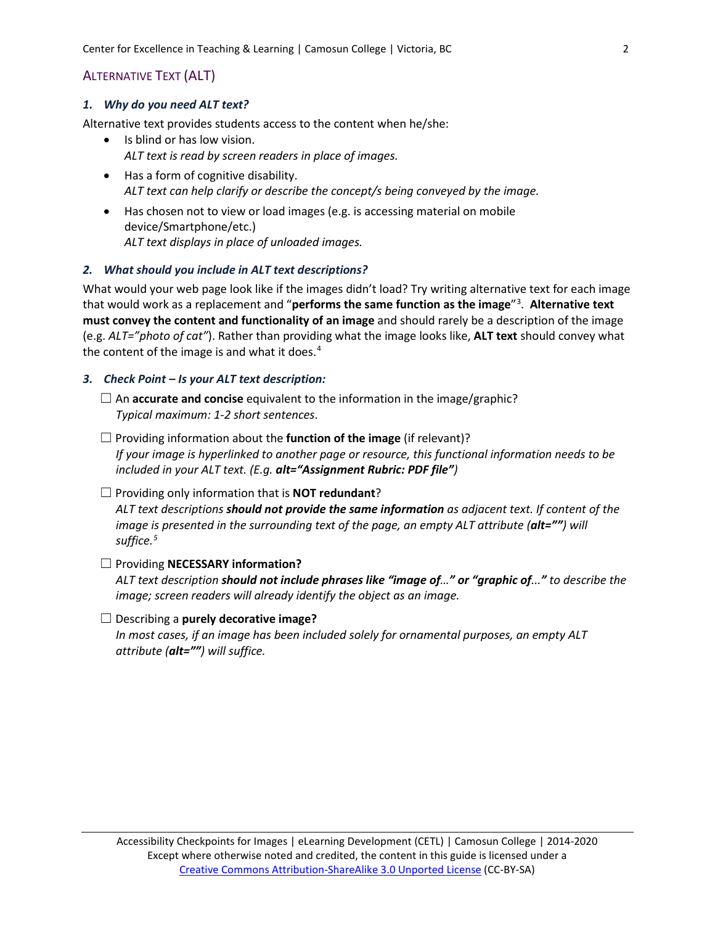Center for Excellence in Teaching & Learning | Camosun College | Victoria, BC 2

# <span id="page-1-1"></span>ALTERNATIVE TEXT (ALT)

### *1. Why do you need ALT text?*

Alternative text provides students access to the content when he/she:

- Is blind or has low vision. *ALT text is read by screen readers in place of images.*
- Has a form of cognitive disability. *ALT text can help clarify or describe the concept/s being conveyed by the image.*
- Has chosen not to view or load images (e.g. is accessing material on mobile device/Smartphone/etc.) *ALT text displays in place of unloaded images.*

## *2. What should you include in ALT text descriptions?*

What would your web page look like if the images didn't load? Try writing alternative text for each image that would work as a replacement and "**performs the same function as the image**"[3](#page-6-2) . **Alternative text must convey the content and functionality of an image** and should rarely be a description of the image (e.g. *ALT="photo of cat"*). Rather than providing what the image looks like, **ALT text** should convey what the content of the image is and what it does.<sup>[4](#page-6-3)</sup>

## *3. Check Point – Is your ALT text description:*

□ An **accurate and concise** equivalent to the information in the image/graphic? *Typical maximum: 1-2 short sentences*.

☐ Providing information about the **function of the image** (if relevant)? *If your image is hyperlinked to another page or resource, this functional information needs to be included in your ALT text. (E.g. alt="Assignment Rubric: PDF file")*

#### ☐ Providing only information that is **NOT redundant**?

*ALT text descriptions should not provide the same information as adjacent text. If content of the image is presented in the surrounding text of the page, an empty ALT attribute (alt="") will suffice.[5](#page-6-4)*

- ☐ Providing **NECESSARY information?** *ALT text description should not include phrases like "image of…" or "graphic of..." to describe the image; screen readers will already identify the object as an image.*
- <span id="page-1-0"></span>☐ Describing a **purely decorative image?** *In most cases, if an image has been included solely for ornamental purposes, an empty ALT attribute (alt="") will suffice.*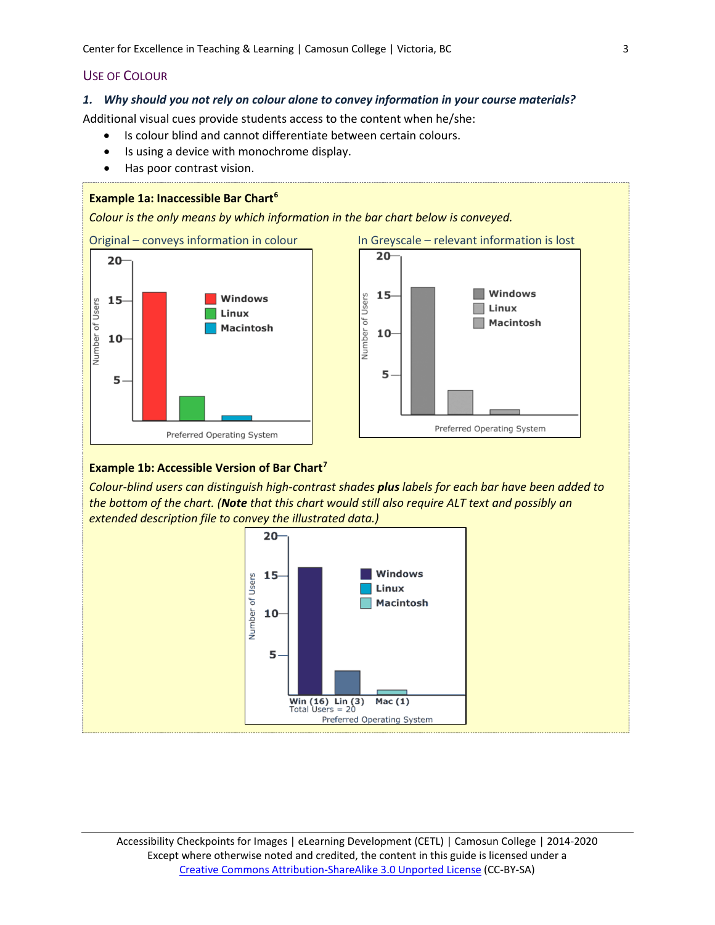## USE OF COLOUR

#### *1. Why should you not rely on colour alone to convey information in your course materials?*

Additional visual cues provide students access to the content when he/she:

- Is colour blind and cannot differentiate between certain colours.
- Is using a device with monochrome display.
- Has poor contrast vision.

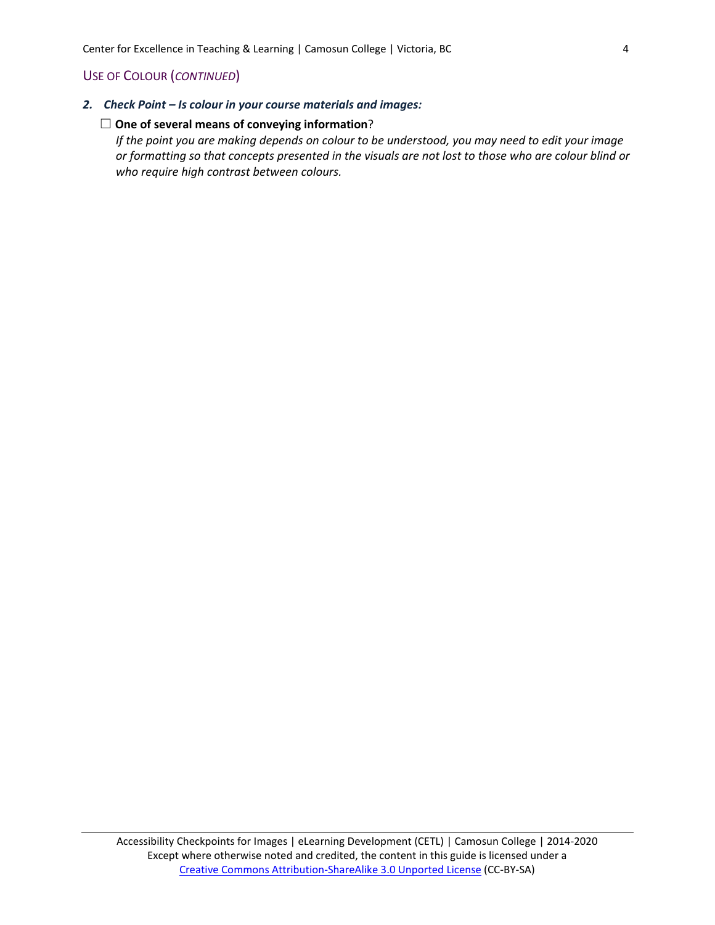## USE OF COLOUR (*CONTINUED*)

*2. Check Point – Is colour in your course materials and images:* 

#### ☐ **One of several means of conveying information**?

<span id="page-3-0"></span>*If the point you are making depends on colour to be understood, you may need to edit your image or formatting so that concepts presented in the visuals are not lost to those who are colour blind or who require high contrast between colours.*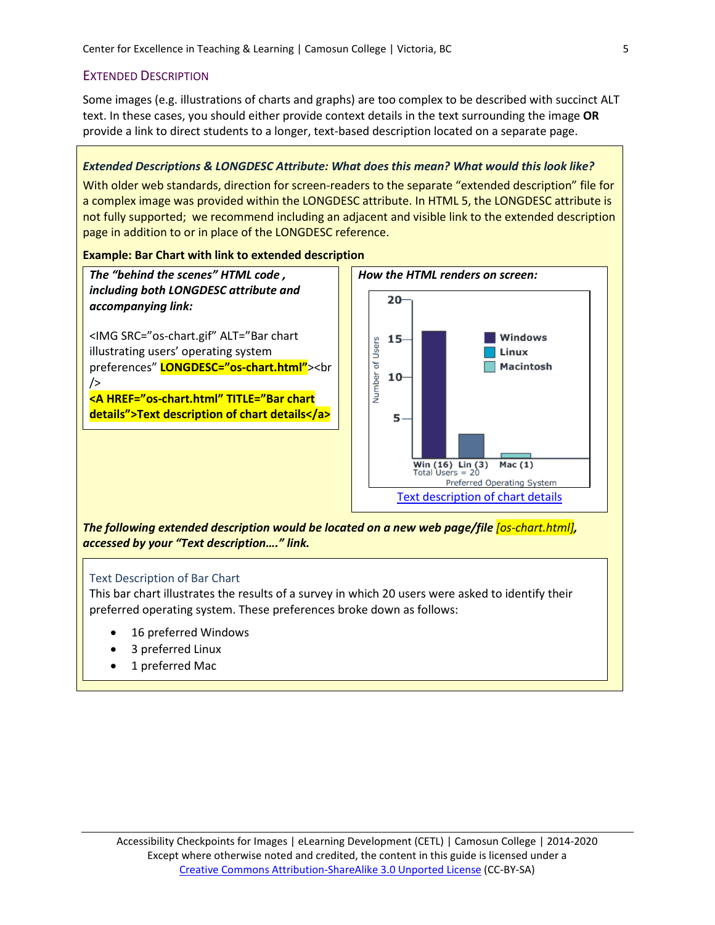## EXTENDED DESCRIPTION

Some images (e.g. illustrations of charts and graphs) are too complex to be described with succinct ALT text. In these cases, you should either provide context details in the text surrounding the image **OR** provide a link to direct students to a longer, text-based description located on a separate page.

## *Extended Descriptions & LONGDESC Attribute: What does this mean? What would this look like?*

With older web standards, direction for screen-readers to the separate "extended description" file for a complex image was provided within the LONGDESC attribute. In HTML 5, the LONGDESC attribute is not fully supported; we recommend including an adjacent and visible link to the extended description page in addition to or in place of the LONGDESC reference.

#### **Example: Bar Chart with link to extended description**

*The "behind the scenes" HTML code , including both LONGDESC attribute and accompanying link:*

<IMG SRC="os-chart.gif" ALT="Bar chart illustrating users' operating system preferences" **LONGDESC="os-chart.html"**><br />

**<A HREF="os-chart.html" TITLE="Bar chart details">Text description of chart details</a>**



<span id="page-4-0"></span>*The following extended description would be located on a new web page/file [os-chart.html], accessed by your "Text description…." link.*

## Text Description of Bar Chart

This bar chart illustrates the results of a survey in which 20 users were asked to identify their preferred operating system. These preferences broke down as follows:

- 16 preferred Windows
- 3 preferred Linux
- 1 preferred Mac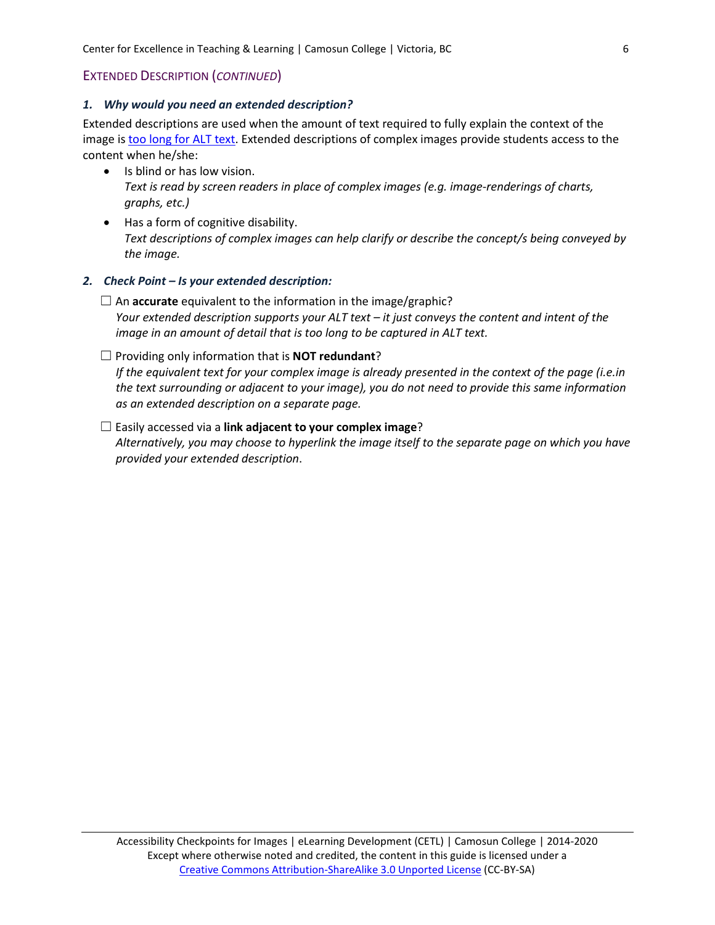## EXTENDED DESCRIPTION (*CONTINUED*)

## *1. Why would you need an extended description?*

Extended descriptions are used when the amount of text required to fully explain the context of the image is [too long for ALT text.](#page-1-1) Extended descriptions of complex images provide students access to the content when he/she:

- Is blind or has low vision. *Text is read by screen readers in place of complex images (e.g. image-renderings of charts, graphs, etc.)*
- Has a form of cognitive disability. *Text descriptions of complex images can help clarify or describe the concept/s being conveyed by the image.*

## *2. Check Point – Is your extended description:*

- ☐ An **accurate** equivalent to the information in the image/graphic? *Your extended description supports your ALT text – it just conveys the content and intent of the image in an amount of detail that is too long to be captured in ALT text.*
- ☐ Providing only information that is **NOT redundant**?

*If the equivalent text for your complex image is already presented in the context of the page (i.e.in the text surrounding or adjacent to your image), you do not need to provide this same information as an extended description on a separate page.* 

## ☐ Easily accessed via a **link adjacent to your complex image**?

*Alternatively, you may choose to hyperlink the image itself to the separate page on which you have provided your extended description*.